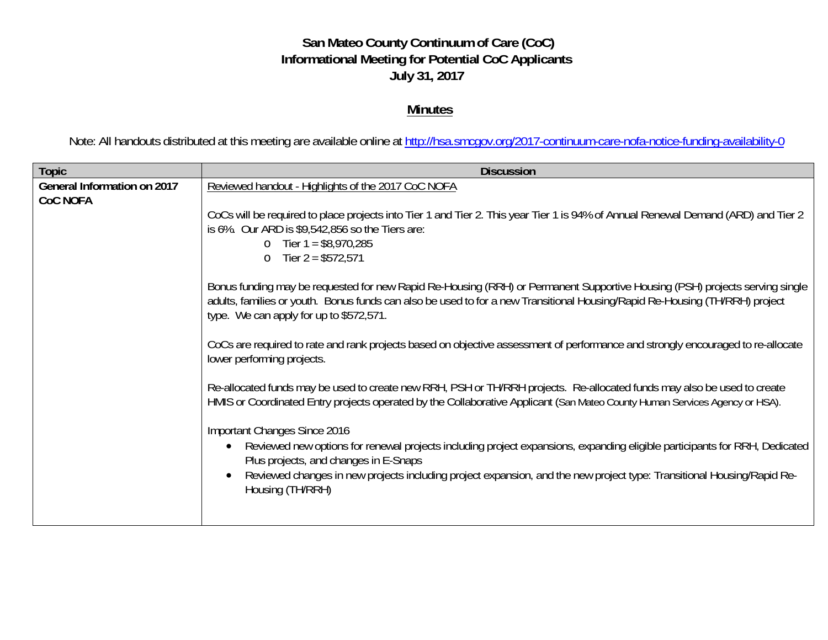## **San Mateo County Continuum of Care (CoC) Informational Meeting for Potential CoC Applicants July 31, 2017**

## **Minutes**

Note: All handouts distributed at this meeting are available online at http://hsa.smcgov.org/2017-continuum-care-nofa-notice-funding-availability-0

| <b>Topic</b>                                   | <b>Discussion</b>                                                                                                                                                                                                                                                                                     |
|------------------------------------------------|-------------------------------------------------------------------------------------------------------------------------------------------------------------------------------------------------------------------------------------------------------------------------------------------------------|
| General Information on 2017<br><b>CoC NOFA</b> | Reviewed handout - Highlights of the 2017 CoC NOFA                                                                                                                                                                                                                                                    |
|                                                | CoCs will be required to place projects into Tier 1 and Tier 2. This year Tier 1 is 94% of Annual Renewal Demand (ARD) and Tier 2<br>is 6%. Our ARD is \$9,542,856 so the Tiers are:<br>o Tier $1 = $8,970,285$<br>Tier $2 = $572,571$<br>$\circ$                                                     |
|                                                | Bonus funding may be requested for new Rapid Re-Housing (RRH) or Permanent Supportive Housing (PSH) projects serving single<br>adults, families or youth. Bonus funds can also be used to for a new Transitional Housing/Rapid Re-Housing (TH/RRH) project<br>type. We can apply for up to \$572,571. |
|                                                | CoCs are required to rate and rank projects based on objective assessment of performance and strongly encouraged to re-allocate<br>lower performing projects.                                                                                                                                         |
|                                                | Re-allocated funds may be used to create new RRH, PSH or TH/RRH projects. Re-allocated funds may also be used to create<br>HMIS or Coordinated Entry projects operated by the Collaborative Applicant (San Mateo County Human Services Agency or HSA).                                                |
|                                                | Important Changes Since 2016                                                                                                                                                                                                                                                                          |
|                                                | Reviewed new options for renewal projects including project expansions, expanding eligible participants for RRH, Dedicated<br>$\bullet$<br>Plus projects, and changes in E-Snaps                                                                                                                      |
|                                                | Reviewed changes in new projects including project expansion, and the new project type: Transitional Housing/Rapid Re-<br>Housing (TH/RRH)                                                                                                                                                            |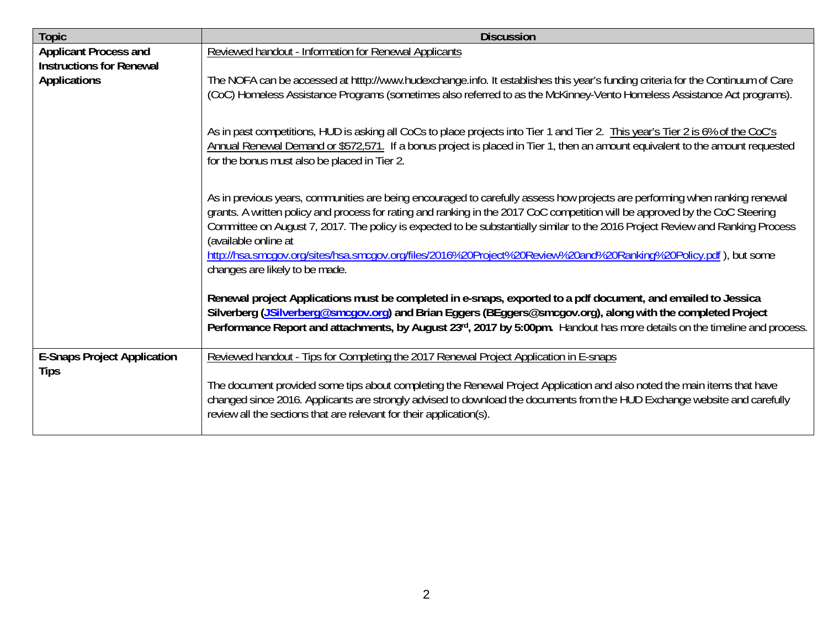| <b>Topic</b>                                                                           | <b>Discussion</b>                                                                                                                                                                                                                                                                                                                                                                                                                                                                                                                                                           |
|----------------------------------------------------------------------------------------|-----------------------------------------------------------------------------------------------------------------------------------------------------------------------------------------------------------------------------------------------------------------------------------------------------------------------------------------------------------------------------------------------------------------------------------------------------------------------------------------------------------------------------------------------------------------------------|
| <b>Applicant Process and</b><br><b>Instructions for Renewal</b><br><b>Applications</b> | Reviewed handout - Information for Renewal Applicants                                                                                                                                                                                                                                                                                                                                                                                                                                                                                                                       |
|                                                                                        | The NOFA can be accessed at htttp://www.hudexchange.info. It establishes this year's funding criteria for the Continuum of Care<br>(CoC) Homeless Assistance Programs (sometimes also referred to as the McKinney-Vento Homeless Assistance Act programs).                                                                                                                                                                                                                                                                                                                  |
|                                                                                        | As in past competitions, HUD is asking all CoCs to place projects into Tier 1 and Tier 2. This year's Tier 2 is 6% of the CoC's<br>Annual Renewal Demand or \$572,571. If a bonus project is placed in Tier 1, then an amount equivalent to the amount requested<br>for the bonus must also be placed in Tier 2.                                                                                                                                                                                                                                                            |
|                                                                                        | As in previous years, communities are being encouraged to carefully assess how projects are performing when ranking renewal<br>grants. A written policy and process for rating and ranking in the 2017 CoC competition will be approved by the CoC Steering<br>Committee on August 7, 2017. The policy is expected to be substantially similar to the 2016 Project Review and Ranking Process<br>(available online at<br>http://hsa.smcgov.org/sites/hsa.smcgov.org/files/2016%20Project%20Review%20and%20Ranking%20Policy.pdf), but some<br>changes are likely to be made. |
|                                                                                        | Renewal project Applications must be completed in e-snaps, exported to a pdf document, and emailed to Jessica<br>Silverberg (JSilverberg@smcgov.org) and Brian Eggers (BEggers@smcgov.org), along with the completed Project<br>Performance Report and attachments, by August 23rd, 2017 by 5:00pm. Handout has more details on the timeline and process.                                                                                                                                                                                                                   |
| <b>E-Snaps Project Application</b><br><b>Tips</b>                                      | Reviewed handout - Tips for Completing the 2017 Renewal Project Application in E-snaps                                                                                                                                                                                                                                                                                                                                                                                                                                                                                      |
|                                                                                        | The document provided some tips about completing the Renewal Project Application and also noted the main items that have<br>changed since 2016. Applicants are strongly advised to download the documents from the HUD Exchange website and carefully<br>review all the sections that are relevant for their application(s).                                                                                                                                                                                                                                                |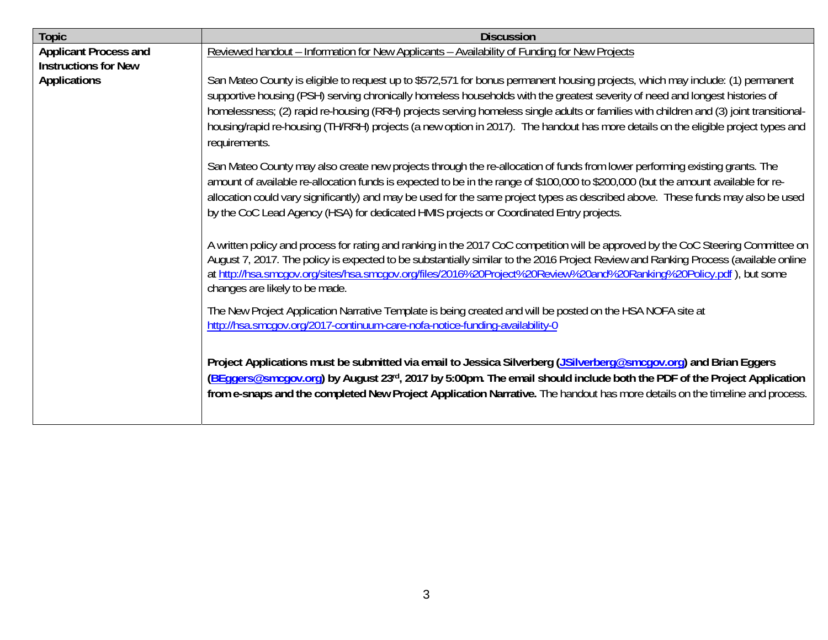| <b>Topic</b>                 | <b>Discussion</b>                                                                                                                                                                                                                                                                                                                                                                                                                                                                                                                                              |
|------------------------------|----------------------------------------------------------------------------------------------------------------------------------------------------------------------------------------------------------------------------------------------------------------------------------------------------------------------------------------------------------------------------------------------------------------------------------------------------------------------------------------------------------------------------------------------------------------|
| <b>Applicant Process and</b> | Reviewed handout - Information for New Applicants - Availability of Funding for New Projects                                                                                                                                                                                                                                                                                                                                                                                                                                                                   |
| <b>Instructions for New</b>  |                                                                                                                                                                                                                                                                                                                                                                                                                                                                                                                                                                |
| <b>Applications</b>          | San Mateo County is eligible to request up to \$572,571 for bonus permanent housing projects, which may include: (1) permanent<br>supportive housing (PSH) serving chronically homeless households with the greatest severity of need and longest histories of<br>homelessness; (2) rapid re-housing (RRH) projects serving homeless single adults or families with children and (3) joint transitional-<br>housing/rapid re-housing (TH/RRH) projects (a new option in 2017). The handout has more details on the eligible project types and<br>requirements. |
|                              | San Mateo County may also create new projects through the re-allocation of funds from lower performing existing grants. The<br>amount of available re-allocation funds is expected to be in the range of \$100,000 to \$200,000 (but the amount available for re-<br>allocation could vary significantly) and may be used for the same project types as described above. These funds may also be used<br>by the CoC Lead Agency (HSA) for dedicated HMIS projects or Coordinated Entry projects.                                                               |
|                              | A written policy and process for rating and ranking in the 2017 CoC competition will be approved by the CoC Steering Committee on<br>August 7, 2017. The policy is expected to be substantially similar to the 2016 Project Review and Ranking Process (available online<br>at http://hsa.smcgov.org/sites/hsa.smcgov.org/files/2016%20Project%20Review%20and%20Ranking%20Policy.pdf), but some<br>changes are likely to be made.                                                                                                                              |
|                              | The New Project Application Narrative Template is being created and will be posted on the HSA NOFA site at<br>http://hsa.smcqov.org/2017-continuum-care-nofa-notice-funding-availability-0                                                                                                                                                                                                                                                                                                                                                                     |
|                              | Project Applications must be submitted via email to Jessica Silverberg (JSilverberg@smcgov.org) and Brian Eggers<br>(BEggers@smcgov.org) by August 23rd, 2017 by 5:00pm. The email should include both the PDF of the Project Application<br>from e-snaps and the completed New Project Application Narrative. The handout has more details on the timeline and process.                                                                                                                                                                                       |